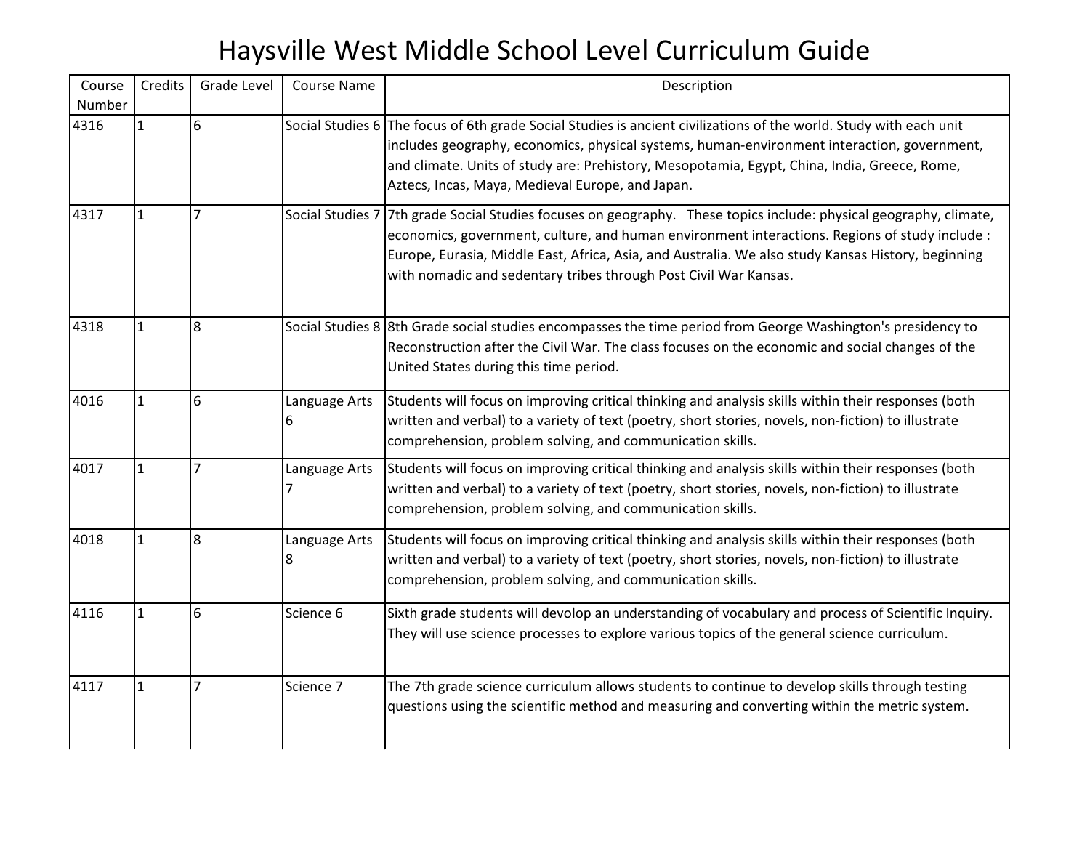| Course<br>Number | Credits      | Grade Level    | <b>Course Name</b> | Description                                                                                                                                                                                                                                                                                                                                                                                    |
|------------------|--------------|----------------|--------------------|------------------------------------------------------------------------------------------------------------------------------------------------------------------------------------------------------------------------------------------------------------------------------------------------------------------------------------------------------------------------------------------------|
| 4316             | $\mathbf{1}$ | 6              |                    | Social Studies 6 The focus of 6th grade Social Studies is ancient civilizations of the world. Study with each unit<br>includes geography, economics, physical systems, human-environment interaction, government,<br>and climate. Units of study are: Prehistory, Mesopotamia, Egypt, China, India, Greece, Rome,<br>Aztecs, Incas, Maya, Medieval Europe, and Japan.                          |
| 4317             | $\mathbf{1}$ | 7              |                    | Social Studies 7 7th grade Social Studies focuses on geography. These topics include: physical geography, climate,<br>economics, government, culture, and human environment interactions. Regions of study include :<br>Europe, Eurasia, Middle East, Africa, Asia, and Australia. We also study Kansas History, beginning<br>with nomadic and sedentary tribes through Post Civil War Kansas. |
| 4318             | $\mathbf{1}$ | 8              |                    | Social Studies 8 8th Grade social studies encompasses the time period from George Washington's presidency to<br>Reconstruction after the Civil War. The class focuses on the economic and social changes of the<br>United States during this time period.                                                                                                                                      |
| 4016             | $\mathbf{1}$ | 6              | Language Arts<br>6 | Students will focus on improving critical thinking and analysis skills within their responses (both<br>written and verbal) to a variety of text (poetry, short stories, novels, non-fiction) to illustrate<br>comprehension, problem solving, and communication skills.                                                                                                                        |
| 4017             | $\mathbf{1}$ | 7              | Language Arts<br>7 | Students will focus on improving critical thinking and analysis skills within their responses (both<br>written and verbal) to a variety of text (poetry, short stories, novels, non-fiction) to illustrate<br>comprehension, problem solving, and communication skills.                                                                                                                        |
| 4018             | $\mathbf{1}$ | 8              | Language Arts<br>8 | Students will focus on improving critical thinking and analysis skills within their responses (both<br>written and verbal) to a variety of text (poetry, short stories, novels, non-fiction) to illustrate<br>comprehension, problem solving, and communication skills.                                                                                                                        |
| 4116             | $\mathbf{1}$ | 6              | Science 6          | Sixth grade students will devolop an understanding of vocabulary and process of Scientific Inquiry.<br>They will use science processes to explore various topics of the general science curriculum.                                                                                                                                                                                            |
| 4117             | $\mathbf{1}$ | $\overline{7}$ | Science 7          | The 7th grade science curriculum allows students to continue to develop skills through testing<br>questions using the scientific method and measuring and converting within the metric system.                                                                                                                                                                                                 |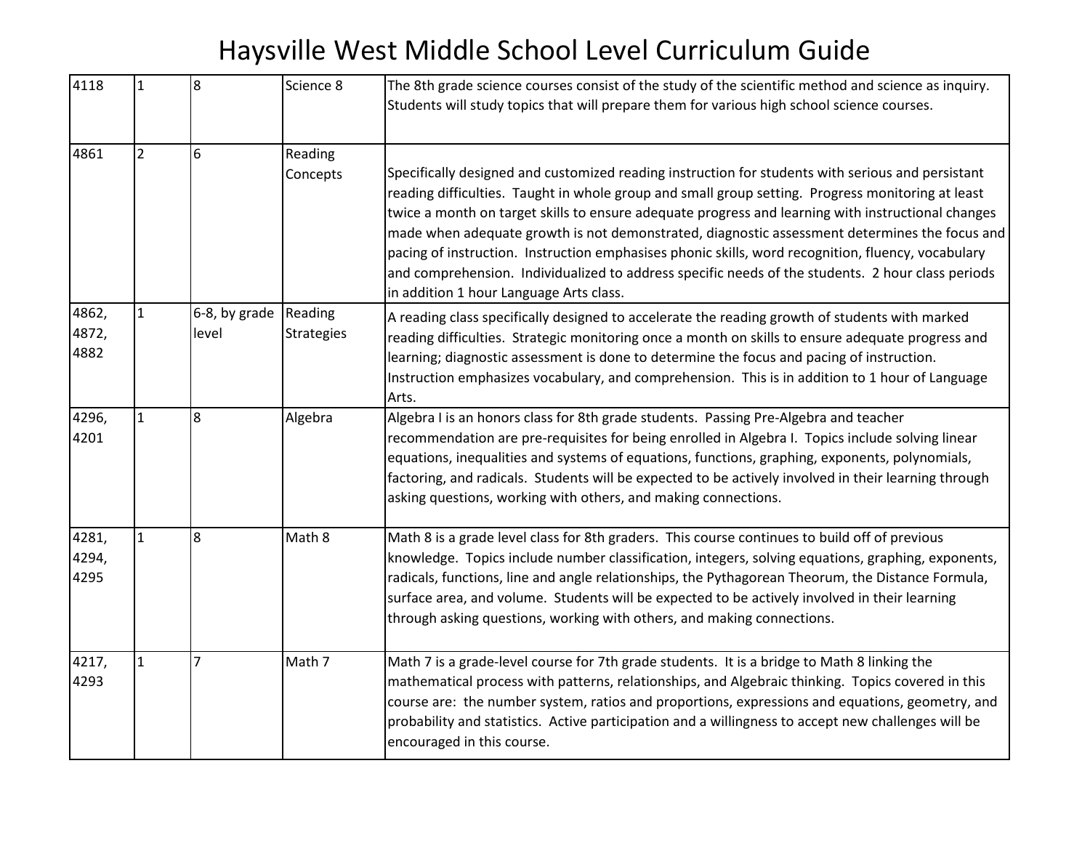| 4118                   | $\mathbf{1}$   | 8                      | Science 8                    | The 8th grade science courses consist of the study of the scientific method and science as inquiry.<br>Students will study topics that will prepare them for various high school science courses.                                                                                                                                                                                                                                                                                                                                                                                                                                                                   |
|------------------------|----------------|------------------------|------------------------------|---------------------------------------------------------------------------------------------------------------------------------------------------------------------------------------------------------------------------------------------------------------------------------------------------------------------------------------------------------------------------------------------------------------------------------------------------------------------------------------------------------------------------------------------------------------------------------------------------------------------------------------------------------------------|
| 4861                   | $\overline{2}$ | 6                      | Reading<br>Concepts          | Specifically designed and customized reading instruction for students with serious and persistant<br>reading difficulties. Taught in whole group and small group setting. Progress monitoring at least<br>twice a month on target skills to ensure adequate progress and learning with instructional changes<br>made when adequate growth is not demonstrated, diagnostic assessment determines the focus and<br>pacing of instruction. Instruction emphasises phonic skills, word recognition, fluency, vocabulary<br>and comprehension. Individualized to address specific needs of the students. 2 hour class periods<br>in addition 1 hour Language Arts class. |
| 4862,<br>4872,<br>4882 | $\mathbf{1}$   | 6-8, by grade<br>level | Reading<br><b>Strategies</b> | A reading class specifically designed to accelerate the reading growth of students with marked<br>reading difficulties. Strategic monitoring once a month on skills to ensure adequate progress and<br>learning; diagnostic assessment is done to determine the focus and pacing of instruction.<br>Instruction emphasizes vocabulary, and comprehension. This is in addition to 1 hour of Language<br>Arts.                                                                                                                                                                                                                                                        |
| 4296,<br>4201          | $\mathbf{1}$   | $\overline{8}$         | Algebra                      | Algebra I is an honors class for 8th grade students. Passing Pre-Algebra and teacher<br>recommendation are pre-requisites for being enrolled in Algebra I. Topics include solving linear<br>equations, inequalities and systems of equations, functions, graphing, exponents, polynomials,<br>factoring, and radicals. Students will be expected to be actively involved in their learning through<br>asking questions, working with others, and making connections.                                                                                                                                                                                                |
| 4281,<br>4294,<br>4295 | $\mathbf{1}$   | 8                      | Math 8                       | Math 8 is a grade level class for 8th graders. This course continues to build off of previous<br>knowledge. Topics include number classification, integers, solving equations, graphing, exponents,<br>radicals, functions, line and angle relationships, the Pythagorean Theorum, the Distance Formula,<br>surface area, and volume. Students will be expected to be actively involved in their learning<br>through asking questions, working with others, and making connections.                                                                                                                                                                                 |
| 4217,<br>4293          | 1              | 7                      | Math 7                       | Math 7 is a grade-level course for 7th grade students. It is a bridge to Math 8 linking the<br>mathematical process with patterns, relationships, and Algebraic thinking. Topics covered in this<br>course are: the number system, ratios and proportions, expressions and equations, geometry, and<br>probability and statistics. Active participation and a willingness to accept new challenges will be<br>encouraged in this course.                                                                                                                                                                                                                            |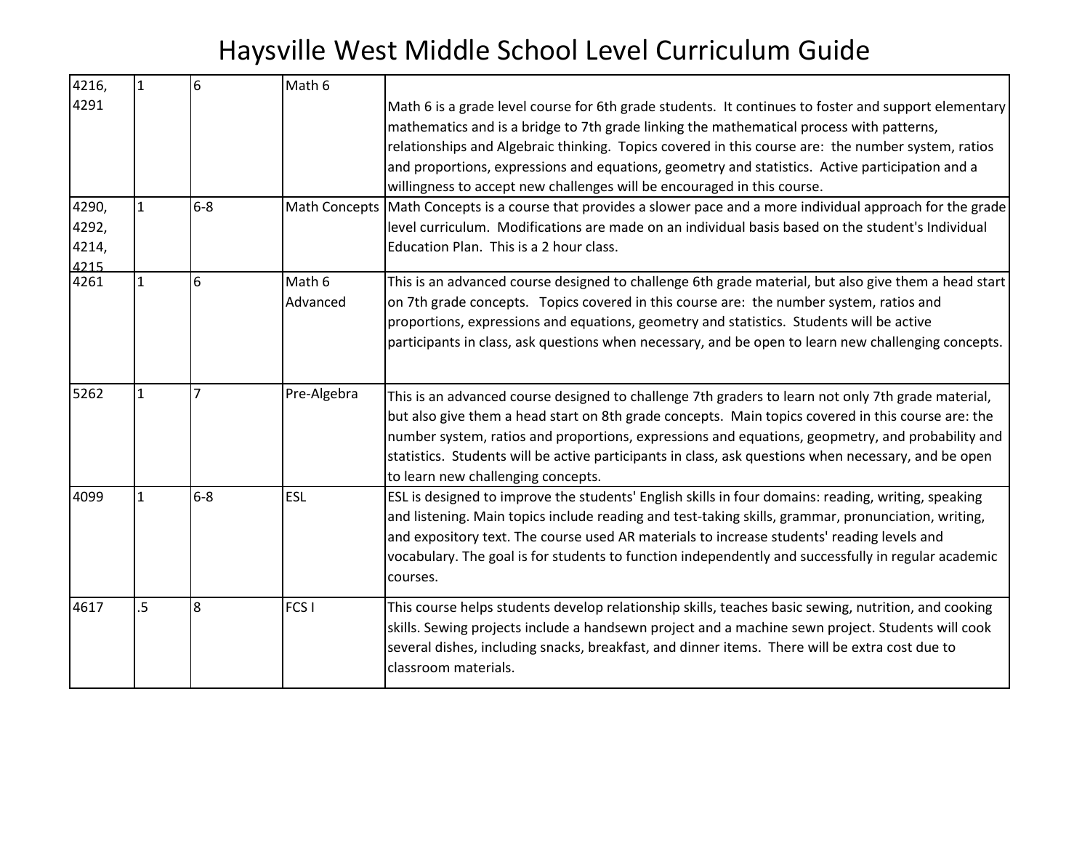| 4216,                           | $\mathbf{1}$ | 6     | Math 6             |                                                                                                                                                                                                                                                                                                                                                                                                                                                                                      |
|---------------------------------|--------------|-------|--------------------|--------------------------------------------------------------------------------------------------------------------------------------------------------------------------------------------------------------------------------------------------------------------------------------------------------------------------------------------------------------------------------------------------------------------------------------------------------------------------------------|
| 4291                            |              |       |                    | Math 6 is a grade level course for 6th grade students. It continues to foster and support elementary<br>mathematics and is a bridge to 7th grade linking the mathematical process with patterns,<br>relationships and Algebraic thinking. Topics covered in this course are: the number system, ratios<br>and proportions, expressions and equations, geometry and statistics. Active participation and a<br>willingness to accept new challenges will be encouraged in this course. |
| 4290,<br>4292,<br>4214,<br>4215 | 1            | $6-8$ |                    | Math Concepts Math Concepts is a course that provides a slower pace and a more individual approach for the grade<br>level curriculum. Modifications are made on an individual basis based on the student's Individual<br>Education Plan. This is a 2 hour class.                                                                                                                                                                                                                     |
| 4261                            | $\mathbf{1}$ | 6     | Math 6<br>Advanced | This is an advanced course designed to challenge 6th grade material, but also give them a head start<br>on 7th grade concepts. Topics covered in this course are: the number system, ratios and<br>proportions, expressions and equations, geometry and statistics. Students will be active<br>participants in class, ask questions when necessary, and be open to learn new challenging concepts.                                                                                   |
| 5262                            | $\mathbf{1}$ | 7     | Pre-Algebra        | This is an advanced course designed to challenge 7th graders to learn not only 7th grade material,<br>but also give them a head start on 8th grade concepts. Main topics covered in this course are: the<br>number system, ratios and proportions, expressions and equations, geopmetry, and probability and<br>statistics. Students will be active participants in class, ask questions when necessary, and be open<br>to learn new challenging concepts.                           |
| 4099                            | $\mathbf{1}$ | $6-8$ | <b>ESL</b>         | ESL is designed to improve the students' English skills in four domains: reading, writing, speaking<br>and listening. Main topics include reading and test-taking skills, grammar, pronunciation, writing,<br>and expository text. The course used AR materials to increase students' reading levels and<br>vocabulary. The goal is for students to function independently and successfully in regular academic<br>courses.                                                          |
| 4617                            | $.5\,$       | 8     | FCS <sub>I</sub>   | This course helps students develop relationship skills, teaches basic sewing, nutrition, and cooking<br>skills. Sewing projects include a handsewn project and a machine sewn project. Students will cook<br>several dishes, including snacks, breakfast, and dinner items. There will be extra cost due to<br>classroom materials.                                                                                                                                                  |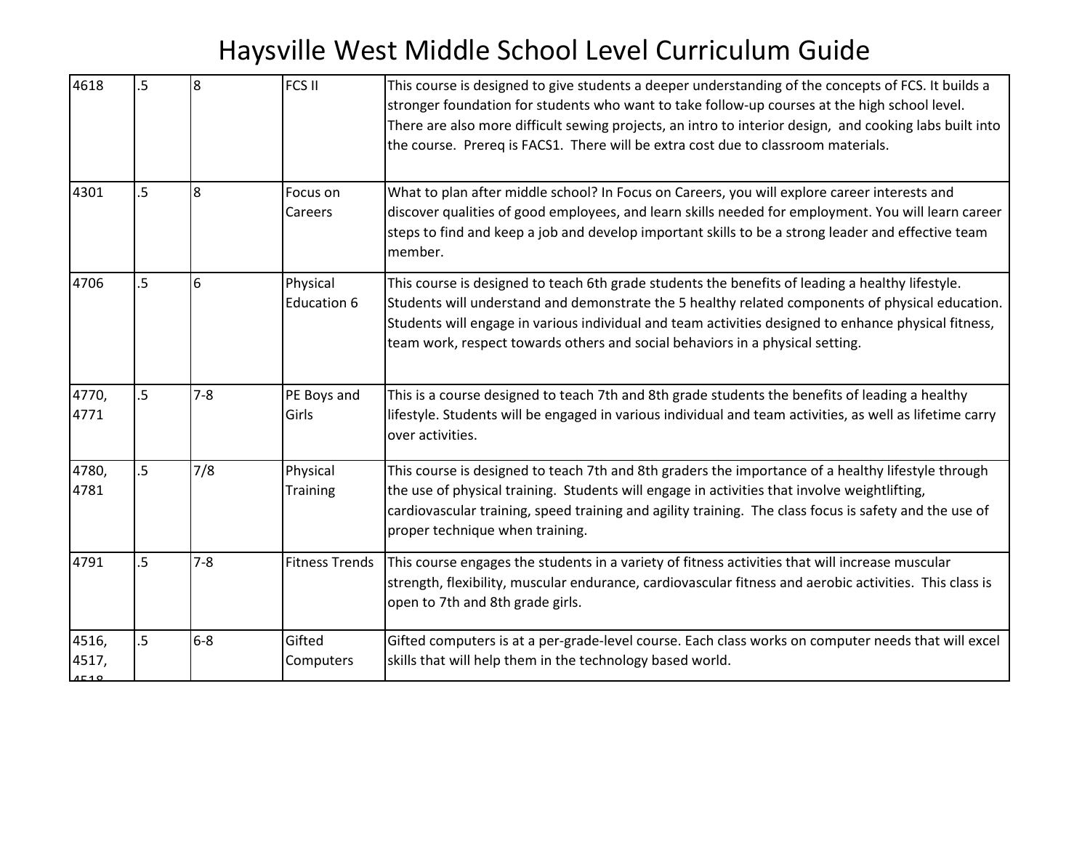| 4618                   | $\overline{5}$ | 8       | FCS II                      | This course is designed to give students a deeper understanding of the concepts of FCS. It builds a<br>stronger foundation for students who want to take follow-up courses at the high school level.<br>There are also more difficult sewing projects, an intro to interior design, and cooking labs built into<br>the course. Prereq is FACS1. There will be extra cost due to classroom materials. |
|------------------------|----------------|---------|-----------------------------|------------------------------------------------------------------------------------------------------------------------------------------------------------------------------------------------------------------------------------------------------------------------------------------------------------------------------------------------------------------------------------------------------|
| 4301                   | .5             | 8       | Focus on<br>Careers         | What to plan after middle school? In Focus on Careers, you will explore career interests and<br>discover qualities of good employees, and learn skills needed for employment. You will learn career<br>steps to find and keep a job and develop important skills to be a strong leader and effective team<br>member.                                                                                 |
| 4706                   | .5             | 6       | Physical<br>Education 6     | This course is designed to teach 6th grade students the benefits of leading a healthy lifestyle.<br>Students will understand and demonstrate the 5 healthy related components of physical education.<br>Students will engage in various individual and team activities designed to enhance physical fitness,<br>team work, respect towards others and social behaviors in a physical setting.        |
| 4770,<br>4771          | $\overline{5}$ | $7 - 8$ | PE Boys and<br>Girls        | This is a course designed to teach 7th and 8th grade students the benefits of leading a healthy<br>lifestyle. Students will be engaged in various individual and team activities, as well as lifetime carry<br>over activities.                                                                                                                                                                      |
| 4780,<br>4781          | 5 <sup>5</sup> | 7/8     | Physical<br><b>Training</b> | This course is designed to teach 7th and 8th graders the importance of a healthy lifestyle through<br>the use of physical training. Students will engage in activities that involve weightlifting,<br>cardiovascular training, speed training and agility training. The class focus is safety and the use of<br>proper technique when training.                                                      |
| 4791                   | $.5\,$         | $7 - 8$ | <b>Fitness Trends</b>       | This course engages the students in a variety of fitness activities that will increase muscular<br>strength, flexibility, muscular endurance, cardiovascular fitness and aerobic activities. This class is<br>open to 7th and 8th grade girls.                                                                                                                                                       |
| 4516,<br>4517,<br>1510 | $.5\,$         | $6 - 8$ | Gifted<br>Computers         | Gifted computers is at a per-grade-level course. Each class works on computer needs that will excel<br>skills that will help them in the technology based world.                                                                                                                                                                                                                                     |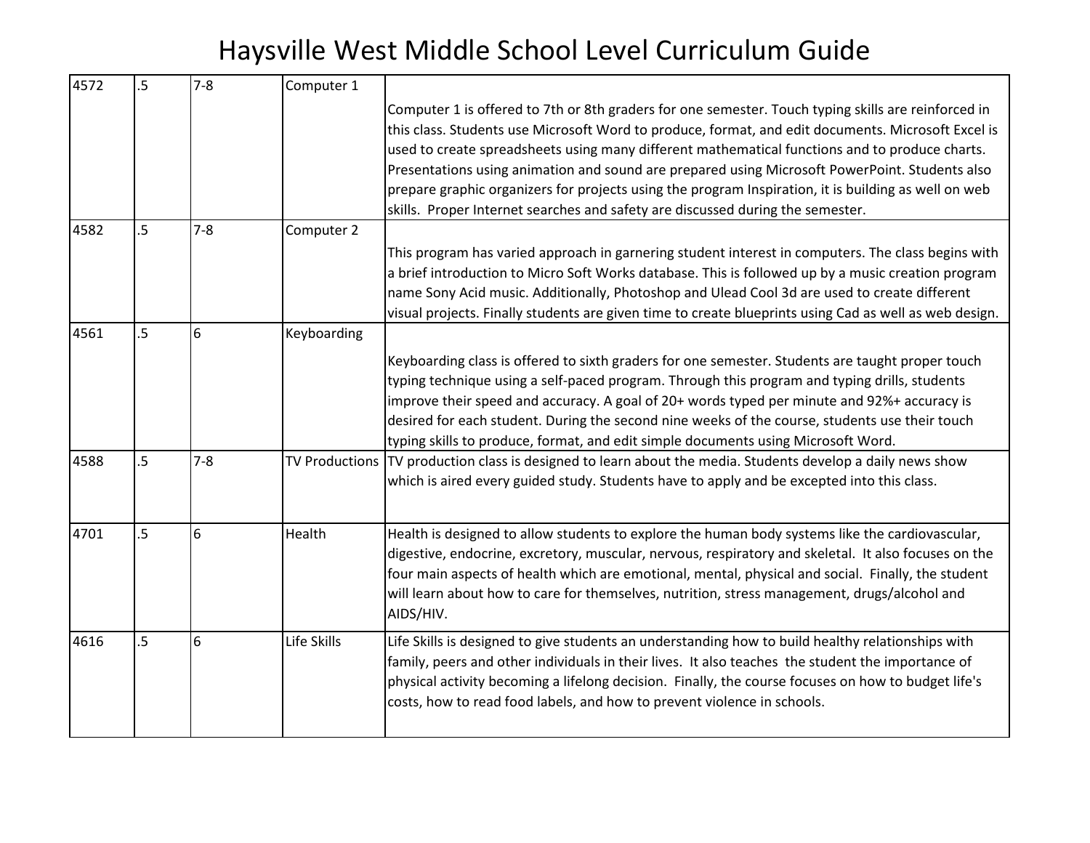| 4572 | $\overline{5}$ | $7 - 8$ | Computer 1  |                                                                                                                                                                                                                                                                                                                                                                                                                                                                                                                                                                                                         |
|------|----------------|---------|-------------|---------------------------------------------------------------------------------------------------------------------------------------------------------------------------------------------------------------------------------------------------------------------------------------------------------------------------------------------------------------------------------------------------------------------------------------------------------------------------------------------------------------------------------------------------------------------------------------------------------|
|      |                |         |             | Computer 1 is offered to 7th or 8th graders for one semester. Touch typing skills are reinforced in<br>this class. Students use Microsoft Word to produce, format, and edit documents. Microsoft Excel is<br>used to create spreadsheets using many different mathematical functions and to produce charts.<br>Presentations using animation and sound are prepared using Microsoft PowerPoint. Students also<br>prepare graphic organizers for projects using the program Inspiration, it is building as well on web<br>skills. Proper Internet searches and safety are discussed during the semester. |
| 4582 | $.5\,$         | $7 - 8$ | Computer 2  |                                                                                                                                                                                                                                                                                                                                                                                                                                                                                                                                                                                                         |
|      |                |         |             | This program has varied approach in garnering student interest in computers. The class begins with<br>a brief introduction to Micro Soft Works database. This is followed up by a music creation program<br>name Sony Acid music. Additionally, Photoshop and Ulead Cool 3d are used to create different<br>visual projects. Finally students are given time to create blueprints using Cad as well as web design.                                                                                                                                                                                      |
| 4561 | $.5\,$         | 6       | Keyboarding |                                                                                                                                                                                                                                                                                                                                                                                                                                                                                                                                                                                                         |
|      |                |         |             | Keyboarding class is offered to sixth graders for one semester. Students are taught proper touch<br>typing technique using a self-paced program. Through this program and typing drills, students<br>improve their speed and accuracy. A goal of 20+ words typed per minute and 92%+ accuracy is<br>desired for each student. During the second nine weeks of the course, students use their touch<br>typing skills to produce, format, and edit simple documents using Microsoft Word.                                                                                                                 |
| 4588 | $.5\,$         | $7 - 8$ |             | TV Productions TV production class is designed to learn about the media. Students develop a daily news show<br>which is aired every guided study. Students have to apply and be excepted into this class.                                                                                                                                                                                                                                                                                                                                                                                               |
| 4701 | $\overline{5}$ | 6       | Health      | Health is designed to allow students to explore the human body systems like the cardiovascular,<br>digestive, endocrine, excretory, muscular, nervous, respiratory and skeletal. It also focuses on the<br>four main aspects of health which are emotional, mental, physical and social. Finally, the student<br>will learn about how to care for themselves, nutrition, stress management, drugs/alcohol and<br>AIDS/HIV.                                                                                                                                                                              |
| 4616 | $.5\,$         | 6       | Life Skills | Life Skills is designed to give students an understanding how to build healthy relationships with<br>family, peers and other individuals in their lives. It also teaches the student the importance of<br>physical activity becoming a lifelong decision. Finally, the course focuses on how to budget life's<br>costs, how to read food labels, and how to prevent violence in schools.                                                                                                                                                                                                                |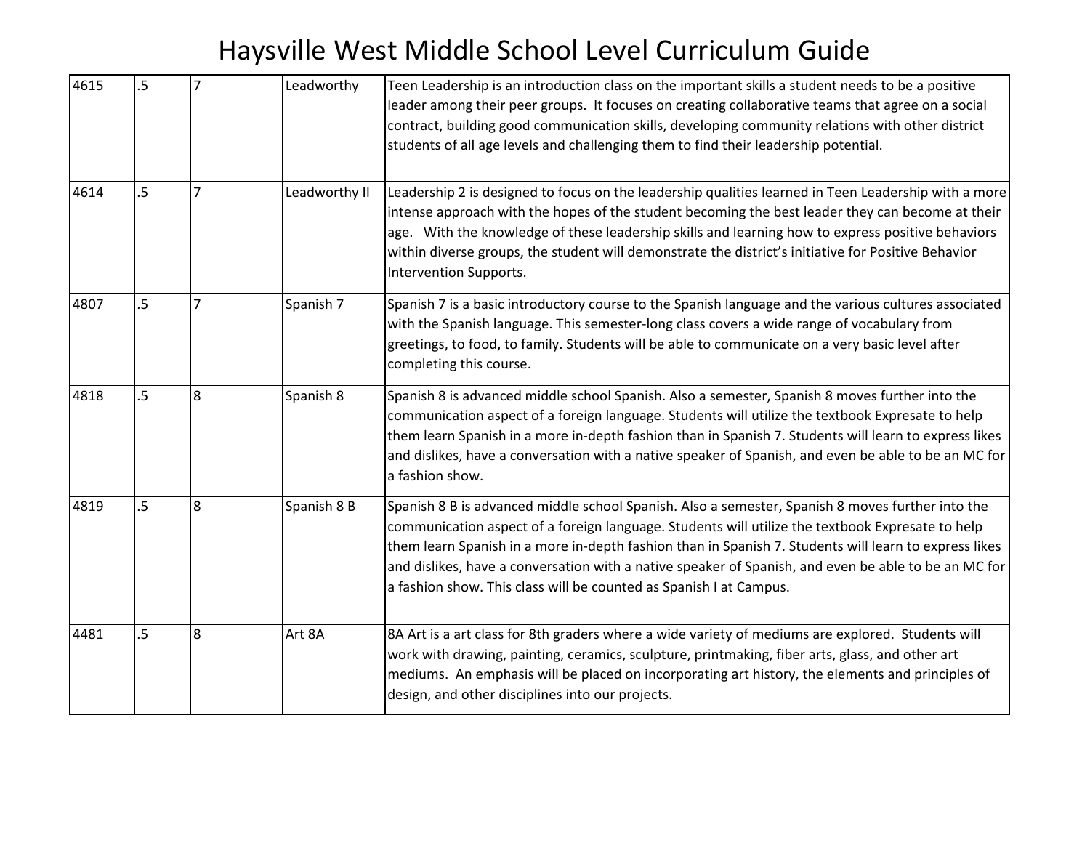| 4615 | $.5\,$         |                  | Leadworthy    | Teen Leadership is an introduction class on the important skills a student needs to be a positive<br>leader among their peer groups. It focuses on creating collaborative teams that agree on a social<br>contract, building good communication skills, developing community relations with other district<br>students of all age levels and challenging them to find their leadership potential.                                                                                           |
|------|----------------|------------------|---------------|---------------------------------------------------------------------------------------------------------------------------------------------------------------------------------------------------------------------------------------------------------------------------------------------------------------------------------------------------------------------------------------------------------------------------------------------------------------------------------------------|
| 4614 | $\overline{5}$ |                  | Leadworthy II | Leadership 2 is designed to focus on the leadership qualities learned in Teen Leadership with a more<br>intense approach with the hopes of the student becoming the best leader they can become at their<br>age. With the knowledge of these leadership skills and learning how to express positive behaviors<br>within diverse groups, the student will demonstrate the district's initiative for Positive Behavior<br>Intervention Supports.                                              |
| 4807 | $.5\,$         | $\overline{7}$   | Spanish 7     | Spanish 7 is a basic introductory course to the Spanish language and the various cultures associated<br>with the Spanish language. This semester-long class covers a wide range of vocabulary from<br>greetings, to food, to family. Students will be able to communicate on a very basic level after<br>completing this course.                                                                                                                                                            |
| 4818 | $\overline{5}$ | 8                | Spanish 8     | Spanish 8 is advanced middle school Spanish. Also a semester, Spanish 8 moves further into the<br>communication aspect of a foreign language. Students will utilize the textbook Expresate to help<br>them learn Spanish in a more in-depth fashion than in Spanish 7. Students will learn to express likes<br>and dislikes, have a conversation with a native speaker of Spanish, and even be able to be an MC for<br>a fashion show.                                                      |
| 4819 | $.5\,$         | 8                | Spanish 8 B   | Spanish 8 B is advanced middle school Spanish. Also a semester, Spanish 8 moves further into the<br>communication aspect of a foreign language. Students will utilize the textbook Expresate to help<br>them learn Spanish in a more in-depth fashion than in Spanish 7. Students will learn to express likes<br>and dislikes, have a conversation with a native speaker of Spanish, and even be able to be an MC for<br>a fashion show. This class will be counted as Spanish I at Campus. |
| 4481 | $.5\,$         | $\boldsymbol{8}$ | Art 8A        | 8A Art is a art class for 8th graders where a wide variety of mediums are explored. Students will<br>work with drawing, painting, ceramics, sculpture, printmaking, fiber arts, glass, and other art<br>mediums. An emphasis will be placed on incorporating art history, the elements and principles of<br>design, and other disciplines into our projects.                                                                                                                                |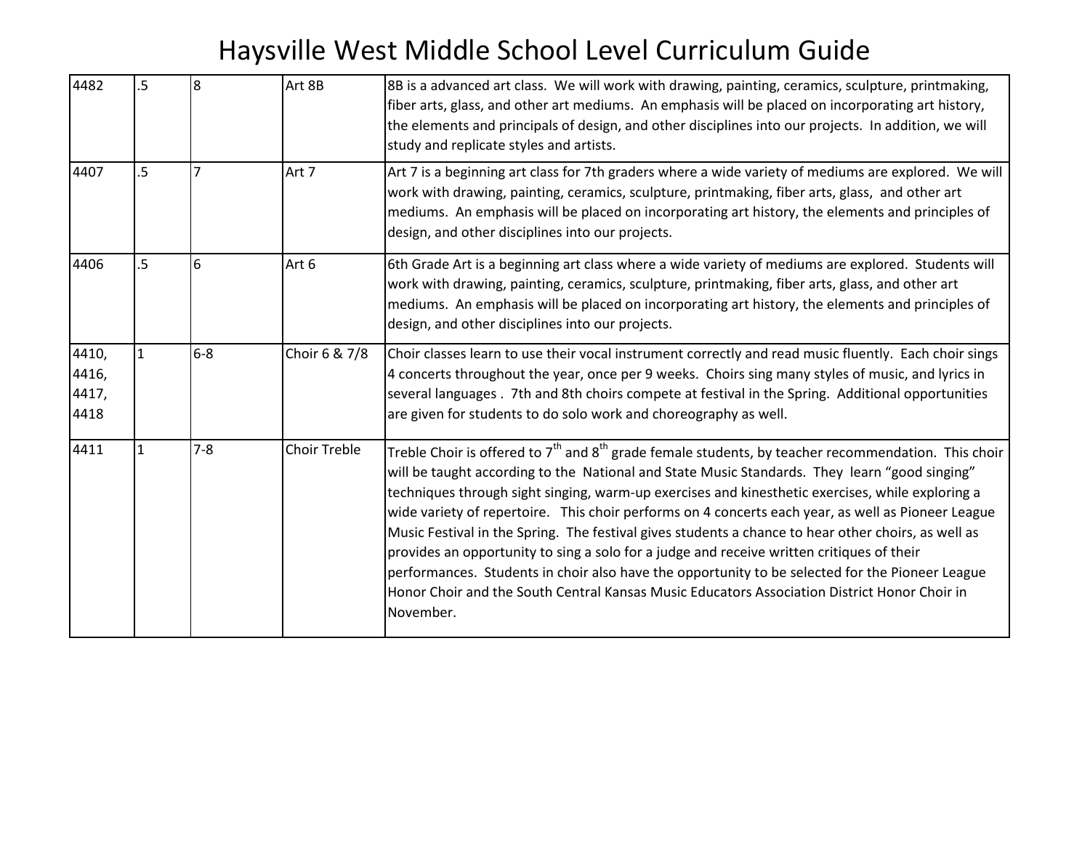| 4482                            | $5\phantom{.}$ | 8              | Art 8B              | 8B is a advanced art class. We will work with drawing, painting, ceramics, sculpture, printmaking,<br>fiber arts, glass, and other art mediums. An emphasis will be placed on incorporating art history,<br>the elements and principals of design, and other disciplines into our projects. In addition, we will<br>study and replicate styles and artists.                                                                                                                                                                                                                                                                                                                                                                                                                                                                            |
|---------------------------------|----------------|----------------|---------------------|----------------------------------------------------------------------------------------------------------------------------------------------------------------------------------------------------------------------------------------------------------------------------------------------------------------------------------------------------------------------------------------------------------------------------------------------------------------------------------------------------------------------------------------------------------------------------------------------------------------------------------------------------------------------------------------------------------------------------------------------------------------------------------------------------------------------------------------|
| 4407                            | 5 <sub>5</sub> | $\overline{7}$ | Art 7               | Art 7 is a beginning art class for 7th graders where a wide variety of mediums are explored. We will<br>work with drawing, painting, ceramics, sculpture, printmaking, fiber arts, glass, and other art<br>mediums. An emphasis will be placed on incorporating art history, the elements and principles of<br>design, and other disciplines into our projects.                                                                                                                                                                                                                                                                                                                                                                                                                                                                        |
| 4406                            | $5\phantom{.}$ | 6              | Art 6               | 6th Grade Art is a beginning art class where a wide variety of mediums are explored. Students will<br>work with drawing, painting, ceramics, sculpture, printmaking, fiber arts, glass, and other art<br>mediums. An emphasis will be placed on incorporating art history, the elements and principles of<br>design, and other disciplines into our projects.                                                                                                                                                                                                                                                                                                                                                                                                                                                                          |
| 4410,<br>4416,<br>4417,<br>4418 | $\mathbf{1}$   | $6-8$          | Choir 6 & 7/8       | Choir classes learn to use their vocal instrument correctly and read music fluently. Each choir sings<br>4 concerts throughout the year, once per 9 weeks. Choirs sing many styles of music, and lyrics in<br>several languages . 7th and 8th choirs compete at festival in the Spring. Additional opportunities<br>are given for students to do solo work and choreography as well.                                                                                                                                                                                                                                                                                                                                                                                                                                                   |
| 4411                            | $\mathbf{1}$   | $7 - 8$        | <b>Choir Treble</b> | Treble Choir is offered to $7th$ and $8th$ grade female students, by teacher recommendation. This choir<br>will be taught according to the National and State Music Standards. They learn "good singing"<br>techniques through sight singing, warm-up exercises and kinesthetic exercises, while exploring a<br>wide variety of repertoire. This choir performs on 4 concerts each year, as well as Pioneer League<br>Music Festival in the Spring. The festival gives students a chance to hear other choirs, as well as<br>provides an opportunity to sing a solo for a judge and receive written critiques of their<br>performances. Students in choir also have the opportunity to be selected for the Pioneer League<br>Honor Choir and the South Central Kansas Music Educators Association District Honor Choir in<br>November. |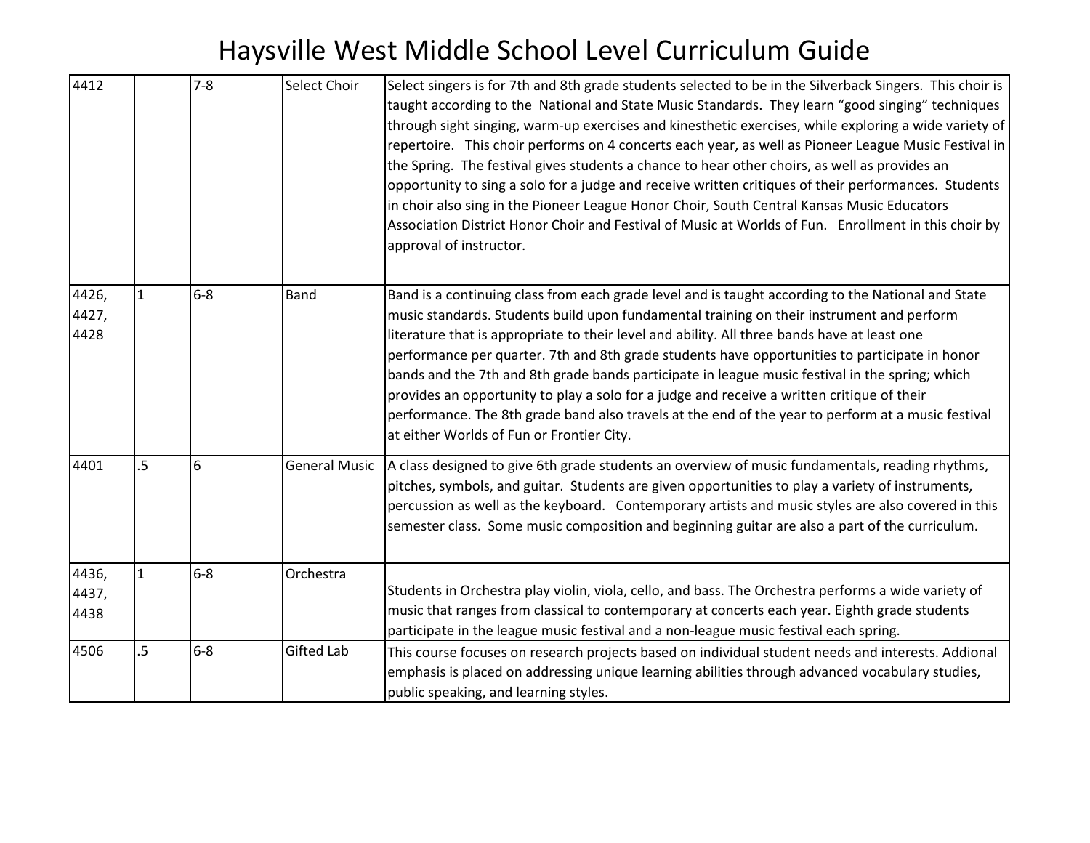| 4412                   |                | $7 - 8$ | Select Choir         | Select singers is for 7th and 8th grade students selected to be in the Silverback Singers. This choir is<br>taught according to the National and State Music Standards. They learn "good singing" techniques<br>through sight singing, warm-up exercises and kinesthetic exercises, while exploring a wide variety of<br>repertoire. This choir performs on 4 concerts each year, as well as Pioneer League Music Festival in<br>the Spring. The festival gives students a chance to hear other choirs, as well as provides an<br>opportunity to sing a solo for a judge and receive written critiques of their performances. Students<br>in choir also sing in the Pioneer League Honor Choir, South Central Kansas Music Educators<br>Association District Honor Choir and Festival of Music at Worlds of Fun. Enrollment in this choir by<br>approval of instructor. |
|------------------------|----------------|---------|----------------------|-------------------------------------------------------------------------------------------------------------------------------------------------------------------------------------------------------------------------------------------------------------------------------------------------------------------------------------------------------------------------------------------------------------------------------------------------------------------------------------------------------------------------------------------------------------------------------------------------------------------------------------------------------------------------------------------------------------------------------------------------------------------------------------------------------------------------------------------------------------------------|
| 4426,<br>4427,<br>4428 | $\mathbf{1}$   | $6 - 8$ | <b>Band</b>          | Band is a continuing class from each grade level and is taught according to the National and State<br>music standards. Students build upon fundamental training on their instrument and perform<br>literature that is appropriate to their level and ability. All three bands have at least one<br>performance per quarter. 7th and 8th grade students have opportunities to participate in honor<br>bands and the 7th and 8th grade bands participate in league music festival in the spring; which<br>provides an opportunity to play a solo for a judge and receive a written critique of their<br>performance. The 8th grade band also travels at the end of the year to perform at a music festival<br>at either Worlds of Fun or Frontier City.                                                                                                                   |
| 4401                   | $5\phantom{.}$ | 6       | <b>General Music</b> | A class designed to give 6th grade students an overview of music fundamentals, reading rhythms,<br>pitches, symbols, and guitar. Students are given opportunities to play a variety of instruments,<br>percussion as well as the keyboard. Contemporary artists and music styles are also covered in this<br>semester class. Some music composition and beginning guitar are also a part of the curriculum.                                                                                                                                                                                                                                                                                                                                                                                                                                                             |
| 4436,<br>4437,<br>4438 | $\mathbf{1}$   | $6 - 8$ | Orchestra            | Students in Orchestra play violin, viola, cello, and bass. The Orchestra performs a wide variety of<br>music that ranges from classical to contemporary at concerts each year. Eighth grade students<br>participate in the league music festival and a non-league music festival each spring.                                                                                                                                                                                                                                                                                                                                                                                                                                                                                                                                                                           |
| 4506                   | $.5\,$         | $6-8$   | <b>Gifted Lab</b>    | This course focuses on research projects based on individual student needs and interests. Addional<br>emphasis is placed on addressing unique learning abilities through advanced vocabulary studies,<br>public speaking, and learning styles.                                                                                                                                                                                                                                                                                                                                                                                                                                                                                                                                                                                                                          |